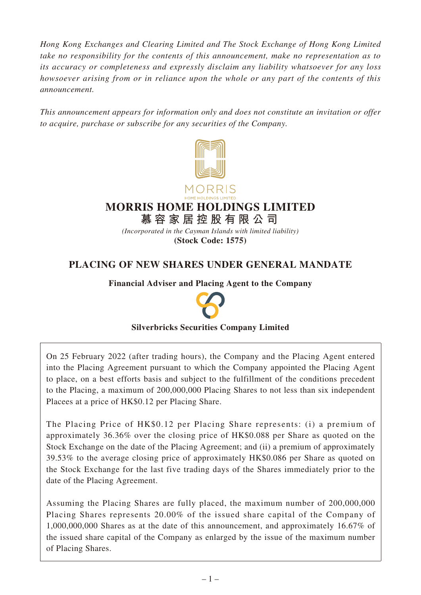*Hong Kong Exchanges and Clearing Limited and The Stock Exchange of Hong Kong Limited take no responsibility for the contents of this announcement, make no representation as to its accuracy or completeness and expressly disclaim any liability whatsoever for any loss howsoever arising from or in reliance upon the whole or any part of the contents of this announcement.*

*This announcement appears for information only and does not constitute an invitation or offer to acquire, purchase or subscribe for any securities of the Company.*





# **MORRIS HOME HOLDINGS LIMITED**

**慕容家居控股有限公司**

*(Incorporated in the Cayman Islands with limited liability)* **(Stock Code: 1575)**

## **PLACING OF NEW SHARES UNDER GENERAL MANDATE**

**Financial Adviser and Placing Agent to the Company**



## **Silverbricks Securities Company Limited**

On 25 February 2022 (after trading hours), the Company and the Placing Agent entered into the Placing Agreement pursuant to which the Company appointed the Placing Agent to place, on a best efforts basis and subject to the fulfillment of the conditions precedent to the Placing, a maximum of 200,000,000 Placing Shares to not less than six independent Placees at a price of HK\$0.12 per Placing Share.

The Placing Price of HK\$0.12 per Placing Share represents: (i) a premium of approximately 36.36% over the closing price of HK\$0.088 per Share as quoted on the Stock Exchange on the date of the Placing Agreement; and (ii) a premium of approximately 39.53% to the average closing price of approximately HK\$0.086 per Share as quoted on the Stock Exchange for the last five trading days of the Shares immediately prior to the date of the Placing Agreement.

Assuming the Placing Shares are fully placed, the maximum number of 200,000,000 Placing Shares represents 20.00% of the issued share capital of the Company of 1,000,000,000 Shares as at the date of this announcement, and approximately 16.67% of the issued share capital of the Company as enlarged by the issue of the maximum number of Placing Shares.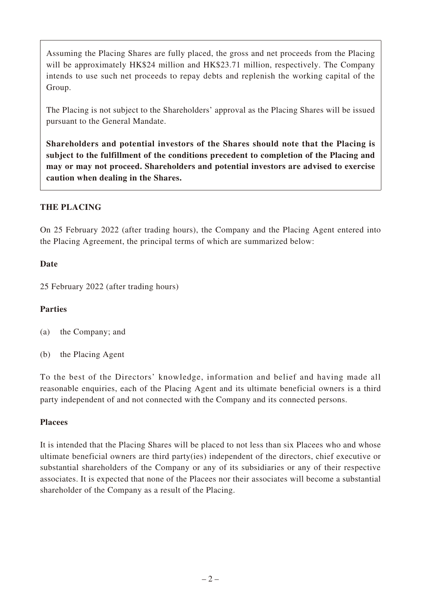Assuming the Placing Shares are fully placed, the gross and net proceeds from the Placing will be approximately HK\$24 million and HK\$23.71 million, respectively. The Company intends to use such net proceeds to repay debts and replenish the working capital of the Group.

The Placing is not subject to the Shareholders' approval as the Placing Shares will be issued pursuant to the General Mandate.

**Shareholders and potential investors of the Shares should note that the Placing is subject to the fulfillment of the conditions precedent to completion of the Placing and may or may not proceed. Shareholders and potential investors are advised to exercise caution when dealing in the Shares.**

## **THE PLACING**

On 25 February 2022 (after trading hours), the Company and the Placing Agent entered into the Placing Agreement, the principal terms of which are summarized below:

#### **Date**

25 February 2022 (after trading hours)

## **Parties**

(a) the Company; and

(b) the Placing Agent

To the best of the Directors' knowledge, information and belief and having made all reasonable enquiries, each of the Placing Agent and its ultimate beneficial owners is a third party independent of and not connected with the Company and its connected persons.

#### **Placees**

It is intended that the Placing Shares will be placed to not less than six Placees who and whose ultimate beneficial owners are third party(ies) independent of the directors, chief executive or substantial shareholders of the Company or any of its subsidiaries or any of their respective associates. It is expected that none of the Placees nor their associates will become a substantial shareholder of the Company as a result of the Placing.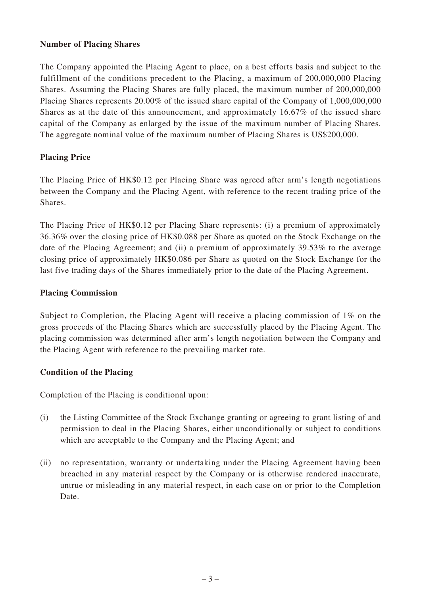#### **Number of Placing Shares**

The Company appointed the Placing Agent to place, on a best efforts basis and subject to the fulfillment of the conditions precedent to the Placing, a maximum of 200,000,000 Placing Shares. Assuming the Placing Shares are fully placed, the maximum number of 200,000,000 Placing Shares represents 20.00% of the issued share capital of the Company of 1,000,000,000 Shares as at the date of this announcement, and approximately 16.67% of the issued share capital of the Company as enlarged by the issue of the maximum number of Placing Shares. The aggregate nominal value of the maximum number of Placing Shares is US\$200,000.

## **Placing Price**

The Placing Price of HK\$0.12 per Placing Share was agreed after arm's length negotiations between the Company and the Placing Agent, with reference to the recent trading price of the Shares.

The Placing Price of HK\$0.12 per Placing Share represents: (i) a premium of approximately 36.36% over the closing price of HK\$0.088 per Share as quoted on the Stock Exchange on the date of the Placing Agreement; and (ii) a premium of approximately 39.53% to the average closing price of approximately HK\$0.086 per Share as quoted on the Stock Exchange for the last five trading days of the Shares immediately prior to the date of the Placing Agreement.

#### **Placing Commission**

Subject to Completion, the Placing Agent will receive a placing commission of 1% on the gross proceeds of the Placing Shares which are successfully placed by the Placing Agent. The placing commission was determined after arm's length negotiation between the Company and the Placing Agent with reference to the prevailing market rate.

#### **Condition of the Placing**

Completion of the Placing is conditional upon:

- (i) the Listing Committee of the Stock Exchange granting or agreeing to grant listing of and permission to deal in the Placing Shares, either unconditionally or subject to conditions which are acceptable to the Company and the Placing Agent; and
- (ii) no representation, warranty or undertaking under the Placing Agreement having been breached in any material respect by the Company or is otherwise rendered inaccurate, untrue or misleading in any material respect, in each case on or prior to the Completion Date.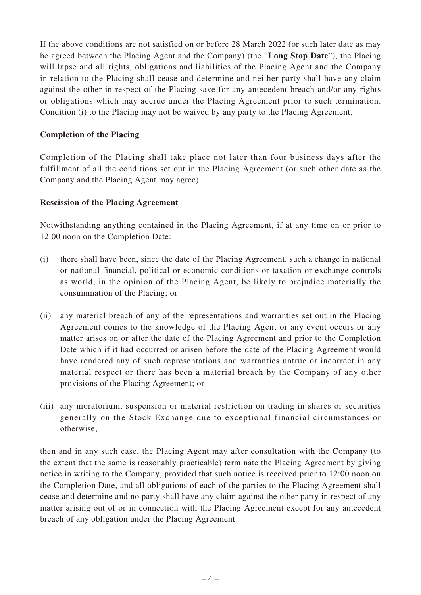If the above conditions are not satisfied on or before 28 March 2022 (or such later date as may be agreed between the Placing Agent and the Company) (the "**Long Stop Date**"), the Placing will lapse and all rights, obligations and liabilities of the Placing Agent and the Company in relation to the Placing shall cease and determine and neither party shall have any claim against the other in respect of the Placing save for any antecedent breach and/or any rights or obligations which may accrue under the Placing Agreement prior to such termination. Condition (i) to the Placing may not be waived by any party to the Placing Agreement.

#### **Completion of the Placing**

Completion of the Placing shall take place not later than four business days after the fulfillment of all the conditions set out in the Placing Agreement (or such other date as the Company and the Placing Agent may agree).

#### **Rescission of the Placing Agreement**

Notwithstanding anything contained in the Placing Agreement, if at any time on or prior to 12:00 noon on the Completion Date:

- (i) there shall have been, since the date of the Placing Agreement, such a change in national or national financial, political or economic conditions or taxation or exchange controls as world, in the opinion of the Placing Agent, be likely to prejudice materially the consummation of the Placing; or
- (ii) any material breach of any of the representations and warranties set out in the Placing Agreement comes to the knowledge of the Placing Agent or any event occurs or any matter arises on or after the date of the Placing Agreement and prior to the Completion Date which if it had occurred or arisen before the date of the Placing Agreement would have rendered any of such representations and warranties untrue or incorrect in any material respect or there has been a material breach by the Company of any other provisions of the Placing Agreement; or
- (iii) any moratorium, suspension or material restriction on trading in shares or securities generally on the Stock Exchange due to exceptional financial circumstances or otherwise;

then and in any such case, the Placing Agent may after consultation with the Company (to the extent that the same is reasonably practicable) terminate the Placing Agreement by giving notice in writing to the Company, provided that such notice is received prior to 12:00 noon on the Completion Date, and all obligations of each of the parties to the Placing Agreement shall cease and determine and no party shall have any claim against the other party in respect of any matter arising out of or in connection with the Placing Agreement except for any antecedent breach of any obligation under the Placing Agreement.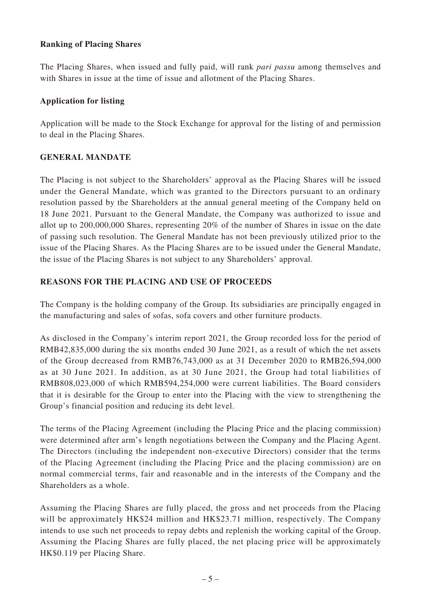## **Ranking of Placing Shares**

The Placing Shares, when issued and fully paid, will rank *pari passu* among themselves and with Shares in issue at the time of issue and allotment of the Placing Shares.

#### **Application for listing**

Application will be made to the Stock Exchange for approval for the listing of and permission to deal in the Placing Shares.

## **GENERAL MANDATE**

The Placing is not subject to the Shareholders' approval as the Placing Shares will be issued under the General Mandate, which was granted to the Directors pursuant to an ordinary resolution passed by the Shareholders at the annual general meeting of the Company held on 18 June 2021. Pursuant to the General Mandate, the Company was authorized to issue and allot up to 200,000,000 Shares, representing 20% of the number of Shares in issue on the date of passing such resolution. The General Mandate has not been previously utilized prior to the issue of the Placing Shares. As the Placing Shares are to be issued under the General Mandate, the issue of the Placing Shares is not subject to any Shareholders' approval.

## **REASONS FOR THE PLACING AND USE OF PROCEEDS**

The Company is the holding company of the Group. Its subsidiaries are principally engaged in the manufacturing and sales of sofas, sofa covers and other furniture products.

As disclosed in the Company's interim report 2021, the Group recorded loss for the period of RMB42,835,000 during the six months ended 30 June 2021, as a result of which the net assets of the Group decreased from RMB76,743,000 as at 31 December 2020 to RMB26,594,000 as at 30 June 2021. In addition, as at 30 June 2021, the Group had total liabilities of RMB808,023,000 of which RMB594,254,000 were current liabilities. The Board considers that it is desirable for the Group to enter into the Placing with the view to strengthening the Group's financial position and reducing its debt level.

The terms of the Placing Agreement (including the Placing Price and the placing commission) were determined after arm's length negotiations between the Company and the Placing Agent. The Directors (including the independent non-executive Directors) consider that the terms of the Placing Agreement (including the Placing Price and the placing commission) are on normal commercial terms, fair and reasonable and in the interests of the Company and the Shareholders as a whole.

Assuming the Placing Shares are fully placed, the gross and net proceeds from the Placing will be approximately HK\$24 million and HK\$23.71 million, respectively. The Company intends to use such net proceeds to repay debts and replenish the working capital of the Group. Assuming the Placing Shares are fully placed, the net placing price will be approximately HK\$0.119 per Placing Share.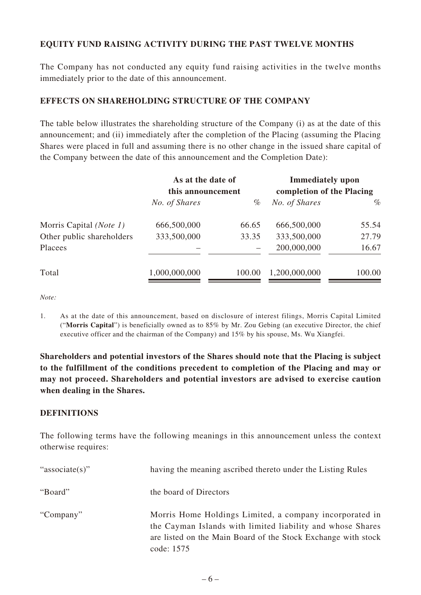## **EQUITY FUND RAISING ACTIVITY DURING THE PAST TWELVE MONTHS**

The Company has not conducted any equity fund raising activities in the twelve months immediately prior to the date of this announcement.

## **EFFECTS ON SHAREHOLDING STRUCTURE OF THE COMPANY**

The table below illustrates the shareholding structure of the Company (i) as at the date of this announcement; and (ii) immediately after the completion of the Placing (assuming the Placing Shares were placed in full and assuming there is no other change in the issued share capital of the Company between the date of this announcement and the Completion Date):

|                           | As at the date of<br>this announcement |        | <b>Immediately</b> upon<br>completion of the Placing |        |
|---------------------------|----------------------------------------|--------|------------------------------------------------------|--------|
|                           | No. of Shares                          | $\%$   | No. of Shares                                        | $\%$   |
| Morris Capital (Note 1)   | 666,500,000                            | 66.65  | 666,500,000                                          | 55.54  |
| Other public shareholders | 333,500,000                            | 33.35  | 333,500,000                                          | 27.79  |
| Placees                   |                                        |        | 200,000,000                                          | 16.67  |
| Total                     | 1,000,000,000                          | 100.00 | 1,200,000,000                                        | 100.00 |

*Note:*

1. As at the date of this announcement, based on disclosure of interest filings, Morris Capital Limited ("**Morris Capital**") is beneficially owned as to 85% by Mr. Zou Gebing (an executive Director, the chief executive officer and the chairman of the Company) and 15% by his spouse, Ms. Wu Xiangfei.

**Shareholders and potential investors of the Shares should note that the Placing is subject to the fulfillment of the conditions precedent to completion of the Placing and may or may not proceed. Shareholders and potential investors are advised to exercise caution when dealing in the Shares.**

#### **DEFINITIONS**

The following terms have the following meanings in this announcement unless the context otherwise requires:

| "associate(s)" | having the meaning ascribed thereto under the Listing Rules                                                                                                                                          |
|----------------|------------------------------------------------------------------------------------------------------------------------------------------------------------------------------------------------------|
| "Board"        | the board of Directors                                                                                                                                                                               |
| "Company"      | Morris Home Holdings Limited, a company incorporated in<br>the Cayman Islands with limited liability and whose Shares<br>are listed on the Main Board of the Stock Exchange with stock<br>code: 1575 |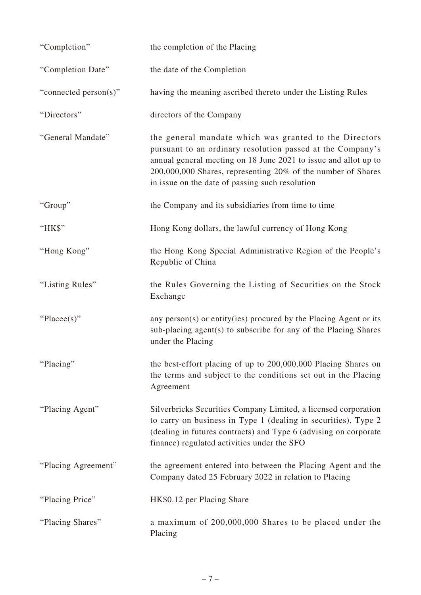| "Completion"          | the completion of the Placing                                                                                                                                                                                                                                                                              |
|-----------------------|------------------------------------------------------------------------------------------------------------------------------------------------------------------------------------------------------------------------------------------------------------------------------------------------------------|
| "Completion Date"     | the date of the Completion                                                                                                                                                                                                                                                                                 |
| "connected person(s)" | having the meaning ascribed thereto under the Listing Rules                                                                                                                                                                                                                                                |
| "Directors"           | directors of the Company                                                                                                                                                                                                                                                                                   |
| "General Mandate"     | the general mandate which was granted to the Directors<br>pursuant to an ordinary resolution passed at the Company's<br>annual general meeting on 18 June 2021 to issue and allot up to<br>200,000,000 Shares, representing 20% of the number of Shares<br>in issue on the date of passing such resolution |
| "Group"               | the Company and its subsidiaries from time to time                                                                                                                                                                                                                                                         |
| "HK\$"                | Hong Kong dollars, the lawful currency of Hong Kong                                                                                                                                                                                                                                                        |
| "Hong Kong"           | the Hong Kong Special Administrative Region of the People's<br>Republic of China                                                                                                                                                                                                                           |
| "Listing Rules"       | the Rules Governing the Listing of Securities on the Stock<br>Exchange                                                                                                                                                                                                                                     |
| "Placee(s)"           | any person(s) or entity(ies) procured by the Placing Agent or its<br>sub-placing agent(s) to subscribe for any of the Placing Shares<br>under the Placing                                                                                                                                                  |
| "Placing"             | the best-effort placing of up to 200,000,000 Placing Shares on<br>the terms and subject to the conditions set out in the Placing<br>Agreement                                                                                                                                                              |
| "Placing Agent"       | Silverbricks Securities Company Limited, a licensed corporation<br>to carry on business in Type 1 (dealing in securities), Type 2<br>(dealing in futures contracts) and Type 6 (advising on corporate<br>finance) regulated activities under the SFO                                                       |
| "Placing Agreement"   | the agreement entered into between the Placing Agent and the<br>Company dated 25 February 2022 in relation to Placing                                                                                                                                                                                      |
| "Placing Price"       | HK\$0.12 per Placing Share                                                                                                                                                                                                                                                                                 |
| "Placing Shares"      | a maximum of 200,000,000 Shares to be placed under the<br>Placing                                                                                                                                                                                                                                          |